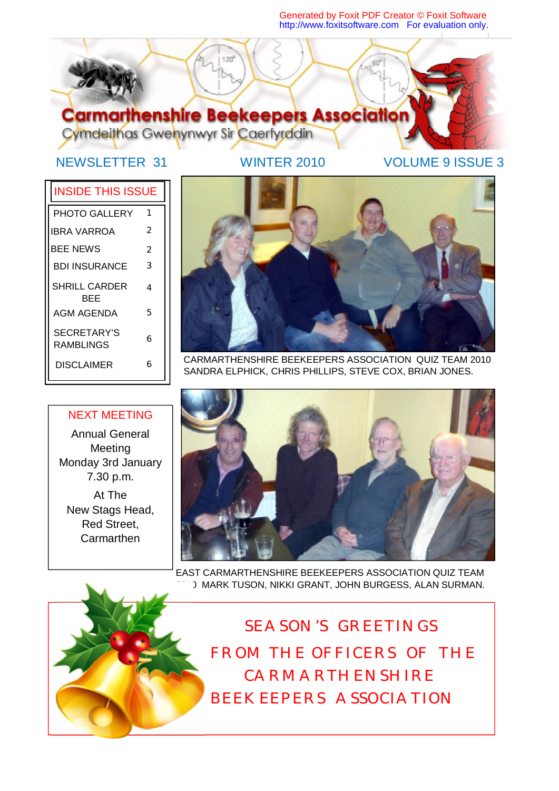Generated by Foxit PDF Creator © Foxit Software http://www.foxitsoftware.com For evaluation only.



WINTER 2010 VOLUME 9 ISSUE 3

| NEWSLETTER 31            |   |
|--------------------------|---|
| <b>INSIDE THIS ISSUE</b> |   |
| PHOTO GALLERY            | 1 |
| IBRA VARROA              | 2 |
| <b>BEE NEWS</b>          | 2 |
| <b>BDI INSURANCE</b>     | 3 |
| SHRILL CARDER<br>BEE     | 4 |
| AGM AGENDA               | 5 |
| SECRETARY'S<br>RAMBLINGS | 6 |
| DISCLAIMER               | 6 |



CARMARTHENSHIRE BEEKEEPERS ASSOCIATION QUIZ TEAM 2010 SANDRA ELPHICK, CHRIS PHILLIPS, STEVE COX, BRIAN JONES.



EAST CARMARTHENSHIRE BEEKEEPERS ASSOCIATION QUIZ TEAM ) MARK TUSON, NIKKI GRANT, JOHN BURGESS, ALAN SURMAN.

 *SEASON'S GREETINGS FROM THE OFFICERS OF THE CARMARTHENSHIRE BEEKEEPERS ASSOCIATION* 

# NEXT MEETING

Annual General Meeting Monday 3rd January 7.30 p.m.

At The New Stags Head, Red Street, **Carmarthen**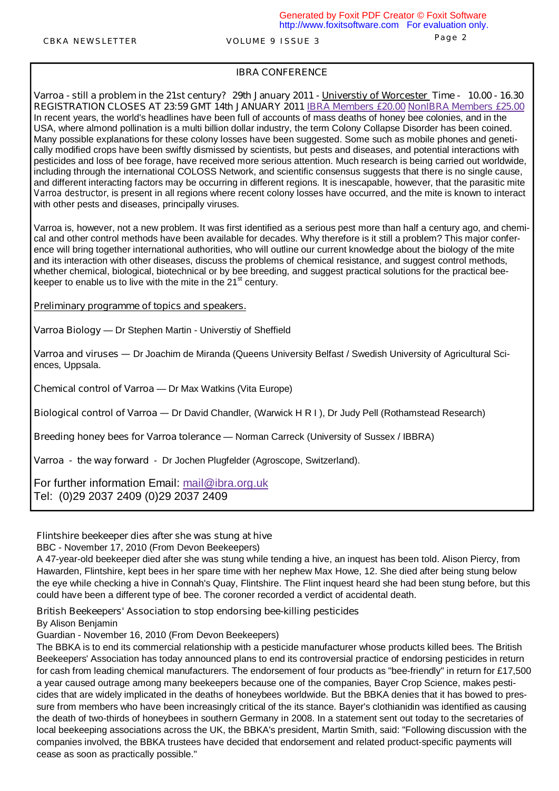CBKA NEWSLETTER VOLUME 9 ISSUE 3

#### **IBRA CONFERENCE**

**Varroa - still a problem in the 21st century? 29th January 2011 - Universtiy of Worcester Time - 10.00 - 16.30 REGISTRATION CLOSES AT 23:59 GMT 14th JANUARY 2011 IBRA Members £20.00 NonIBRA Members £25.00**  In recent years, the world's headlines have been full of accounts of mass deaths of honey bee colonies, and in the USA, where almond pollination is a multi billion dollar industry, the term Colony Collapse Disorder has been coined. Many possible explanations for these colony losses have been suggested. Some such as mobile phones and genetically modified crops have been swiftly dismissed by scientists, but pests and diseases, and potential interactions with pesticides and loss of bee forage, have received more serious attention. Much research is being carried out worldwide, including through the international COLOSS Network, and scientific consensus suggests that there is no single cause, and different interacting factors may be occurring in different regions. It is inescapable, however, that the parasitic mite *Varroa destructor*, is present in all regions where recent colony losses have occurred, and the mite is known to interact with other pests and diseases, principally viruses.

Varroa is, however, not a new problem. It was first identified as a serious pest more than half a century ago, and chemical and other control methods have been available for decades. Why therefore is it still a problem? This major conference will bring together international authorities, who will outline our current knowledge about the biology of the mite and its interaction with other diseases, discuss the problems of chemical resistance, and suggest control methods, whether chemical, biological, biotechnical or by bee breeding, and suggest practical solutions for the practical beekeeper to enable us to live with the mite in the  $21<sup>st</sup>$  century.

**Preliminary programme of topics and speakers.**

**Varroa Biology** — Dr Stephen Martin - Universtiy of Sheffield

**Varroa and viruses —** Dr Joachim de Miranda (Queens University Belfast / Swedish University of Agricultural Sciences, Uppsala.

**Chemical control of Varroa** — Dr Max Watkins (Vita Europe)

**Biological control of Varroa —** Dr David Chandler, (Warwick H R I ), Dr Judy Pell (Rothamstead Research)

**Breeding honey bees for Varroa tolerance** — Norman Carreck (University of Sussex / IBBRA)

**Varroa - the way forward** - Dr Jochen Plugfelder (Agroscope, Switzerland).

For further information Email: mail@ibra.org.uk Tel: (0)29 2037 2409 (0)29 2037 2409

#### **Flintshire beekeeper dies after she was stung at hive**

#### BBC - November 17, 2010 (From Devon Beekeepers)

A 47-year-old beekeeper died after she was stung while tending a hive, an inquest has been told. Alison Piercy, from Hawarden, Flintshire, kept bees in her spare time with her nephew Max Howe, 12. She died after being stung below the eye while checking a hive in Connah's Quay, Flintshire. The Flint inquest heard she had been stung before, but this could have been a different type of bee. The coroner recorded a verdict of accidental death.

#### **British Beekeepers' Association to stop endorsing bee-killing pesticides**

By Alison Benjamin

## Guardian - November 16, 2010 (From Devon Beekeepers)

The BBKA is to end its commercial relationship with a pesticide manufacturer whose products killed bees. The British Beekeepers' Association has today announced plans to end its controversial practice of endorsing pesticides in return for cash from leading chemical manufacturers. The endorsement of four products as "bee-friendly" in return for £17,500 a year caused outrage among many beekeepers because one of the companies, Bayer Crop Science, makes pesticides that are widely implicated in the deaths of honeybees worldwide. But the BBKA denies that it has bowed to pressure from members who have been increasingly critical of the its stance. Bayer's clothianidin was identified as causing the death of two-thirds of honeybees in southern Germany in 2008. In a statement sent out today to the secretaries of local beekeeping associations across the UK, the BBKA's president, Martin Smith, said: "Following discussion with the companies involved, the BBKA trustees have decided that endorsement and related product-specific payments will cease as soon as practically possible."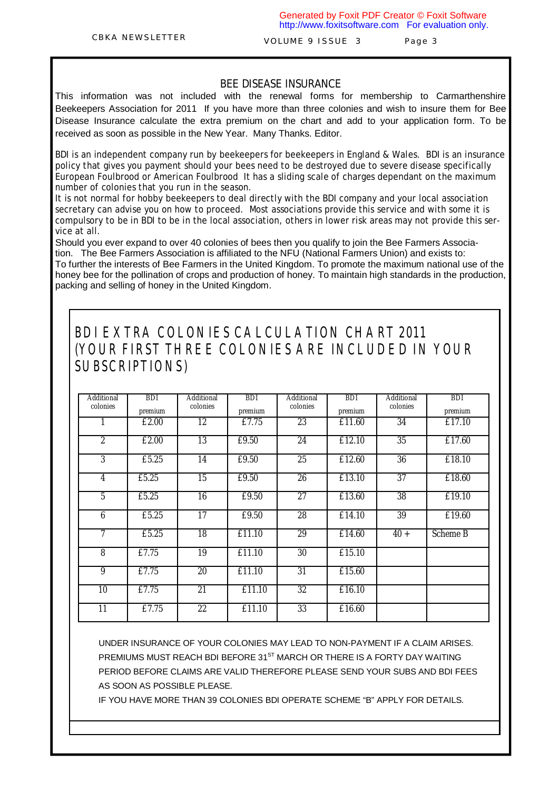Generated by Foxit PDF Creator © Foxit Software http://www.foxitsoftware.com For evaluation only.

CBKA NEWSLETTER<br>
VOLUME 9 ISSUE 3 Page 3

### BEE DISEASE INSURANCE

This information was not included with the renewal forms for membership to Carmarthenshire Beekeepers Association for 2011 If you have more than three colonies and wish to insure them for Bee Disease Insurance calculate the extra premium on the chart and add to your application form. To be received as soon as possible in the New Year. Many Thanks. Editor.

BDI is an independent company run by beekeepers for beekeepers in England & Wales. BDI is an insurance policy that gives you payment should your bees need to be destroyed due to severe disease specifically European Foulbrood or American Foulbrood It has a sliding scale of charges dependant on the maximum number of colonies that you run in the season.

It is not normal for hobby beekeepers to deal directly with the BDI company and your local association secretary can advise you on how to proceed. Most associations provide this service and with some it is compulsory to be in BDI to be in the local association, others in lower risk areas may not provide this service at all.

Should you ever expand to over 40 colonies of bees then you qualify to join the Bee Farmers Association. The Bee Farmers Association is affiliated to the NFU (National Farmers Union) and exists to: To further the interests of Bee Farmers in the United Kingdom. To promote the maximum national use of the honey bee for the pollination of crops and production of honey. To maintain high standards in the production, packing and selling of honey in the United Kingdom.

# *BDI EXTRA COLONIES CALCULATION CHART 2011 (YOUR FIRST THREE COLONIES ARE INCLUDED IN YOUR SUBSCRIPTIONS)*

| Additional<br>colonies | <b>BDI</b><br>premium | Additional<br>colonies | <b>BDI</b><br>premium | Additional<br>colonies | <b>BDI</b><br>premium | Additional<br>colonies | <b>BDI</b><br>premium |
|------------------------|-----------------------|------------------------|-----------------------|------------------------|-----------------------|------------------------|-----------------------|
| 1                      | £2.00                 | $\overline{12}$        | £7.75                 | 23                     | £11.60                | 34                     | £17.10                |
| $\overline{2}$         | £2.00                 | $\overline{13}$        | £9.50                 | 24                     | £12.10                | $\overline{35}$        | £17.60                |
| 3                      | £5.25                 | 14                     | £9.50                 | $\overline{25}$        | £12.60                | 36                     | £18.10                |
| 4                      | £5.25                 | $\overline{15}$        | £9.50                 | $\overline{26}$        | £13.10                | $\overline{37}$        | £18.60                |
| $5\overline{)}$        | £5.25                 | $\overline{16}$        | £9.50                 | 27                     | £13.60                | $\overline{38}$        | £19.10                |
| 6                      | £5.25                 | 17                     | £9.50                 | 28                     | £14.10                | 39                     | £19.60                |
| 7                      | £5.25                 | 18                     | £11.10                | 29                     | £14.60                | $40 +$                 | Scheme B              |
| 8                      | £7.75                 | 19                     | £11.10                | 30                     | £15.10                |                        |                       |
| 9                      | £7.75                 | 20                     | £11.10                | 31                     | £15.60                |                        |                       |
| 10                     | £7.75                 | $\overline{21}$        | £11.10                | 32                     | £16.10                |                        |                       |
| 11                     | £7.75                 | 22                     | £11.10                | 33                     | £16.60                |                        |                       |

 UNDER INSURANCE OF YOUR COLONIES MAY LEAD TO NON-PAYMENT IF A CLAIM ARISES. PREMIUMS MUST REACH BDI BEFORE 31<sup>ST</sup> MARCH OR THERE IS A FORTY DAY WAITING PERIOD BEFORE CLAIMS ARE VALID THEREFORE PLEASE SEND YOUR SUBS AND BDI FEES AS SOON AS POSSIBLE PLEASE.

IF YOU HAVE MORE THAN 39 COLONIES BDI OPERATE SCHEME "B" APPLY FOR DETAILS.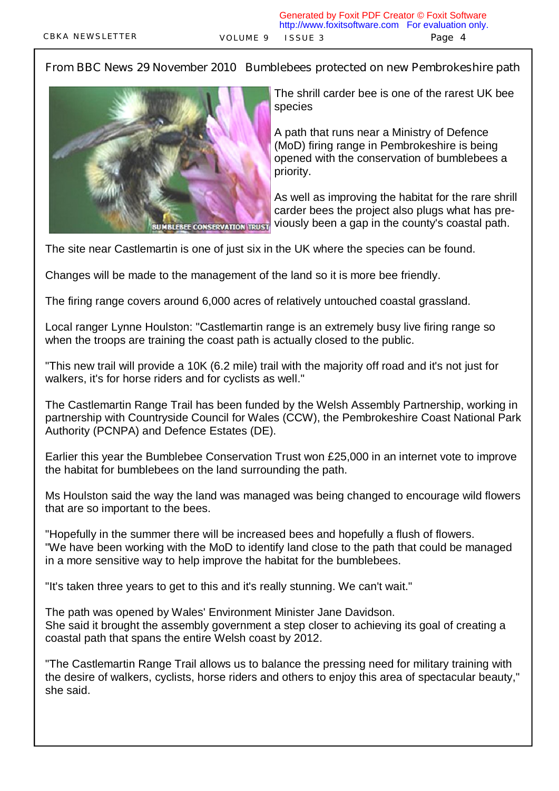**From BBC News 29 November 2010 Bumblebees protected on new Pembrokeshire path** 



The shrill carder bee is one of the rarest UK bee species

A path that runs near a Ministry of Defence (MoD) firing range in Pembrokeshire is being opened with the conservation of bumblebees a priority.

As well as improving the habitat for the rare shrill carder bees the project also plugs what has previously been a gap in the county's coastal path.

The site near Castlemartin is one of just six in the UK where the species can be found.

Changes will be made to the management of the land so it is more bee friendly.

The firing range covers around 6,000 acres of relatively untouched coastal grassland.

Local ranger Lynne Houlston: "Castlemartin range is an extremely busy live firing range so when the troops are training the coast path is actually closed to the public.

"This new trail will provide a 10K (6.2 mile) trail with the majority off road and it's not just for walkers, it's for horse riders and for cyclists as well."

The Castlemartin Range Trail has been funded by the Welsh Assembly Partnership, working in partnership with Countryside Council for Wales (CCW), the Pembrokeshire Coast National Park Authority (PCNPA) and Defence Estates (DE).

Earlier this year the Bumblebee Conservation Trust won £25,000 in an internet vote to improve the habitat for bumblebees on the land surrounding the path.

Ms Houlston said the way the land was managed was being changed to encourage wild flowers that are so important to the bees.

"Hopefully in the summer there will be increased bees and hopefully a flush of flowers. "We have been working with the MoD to identify land close to the path that could be managed in a more sensitive way to help improve the habitat for the bumblebees.

"It's taken three years to get to this and it's really stunning. We can't wait."

The path was opened by Wales' Environment Minister Jane Davidson. She said it brought the assembly government a step closer to achieving its goal of creating a coastal path that spans the entire Welsh coast by 2012.

"The Castlemartin Range Trail allows us to balance the pressing need for military training with the desire of walkers, cyclists, horse riders and others to enjoy this area of spectacular beauty," she said.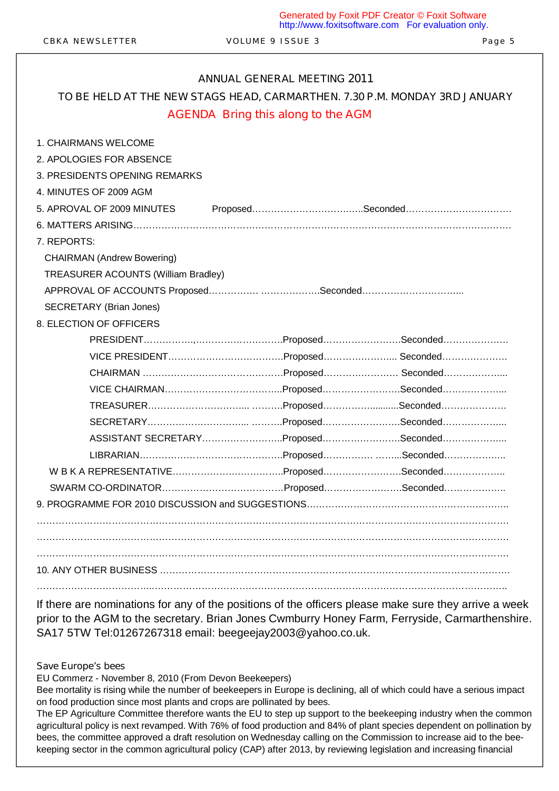# **ANNUAL GENERAL MEETING 2011 TO BE HELD AT THE NEW STAGS HEAD, CARMARTHEN. 7.30 P.M. MONDAY 3RD JANUARY**  *AGENDA Bring this along to the AGM*  1. CHAIRMANS WELCOME 2. APOLOGIES FOR ABSENCE 3. PRESIDENTS OPENING REMARKS 4. MINUTES OF 2009 AGM 5. APROVAL OF 2009 MINUTES Proposed………………………….…..Seconded……………………………. 6. MATTERS ARISING…………………………………………………………………………………………………………. 7. REPORTS: CHAIRMAN (Andrew Bowering) TREASURER ACOUNTS (William Bradley) APPROVAL OF ACCOUNTS Proposed……………. ……………….Seconded…………………………... SECRETARY (Brian Jones) 8. ELECTION OF OFFICERS PRESIDENT…………….,……………………….Proposed…………………….Seconded………………… VICE PRESIDENT……………………………….Proposed…………………... Seconded………………… CHAIRMAN ………………………………………Proposed…………………… Seconded………………... VICE CHAIRMAN………………………………..Proposed…………………….Seconded………………... TREASURER…………………………... ……….Proposed……………...........Seconded………………… SECRETARY…………………………... ……….Proposed…………………….Seconded………………... ASSISTANT SECRETARY……………………..Proposed…………………….Seconded………………... LIBRARIAN……………………………………….Proposed……………. ……...Seconded……………….. W B K A REPRESENTATIVE………………………………Proposed……………………Seconded………………… SWARM CO-ORDINATOR…………………………………Proposed…………………….Seconded……………….. 9. PROGRAMME FOR 2010 DISCUSSION and SUGGESTIONS……………………………………………………….. ……………………………………………………………………………………………………………………………………. ……………………………………………………………………………………………………………………………………. ……………………………………………………………………………………………………………………………………. 10. ANY OTHER BUSINESS …………………………………………………………………………………………………. ………………………………..…………………………………………………………………………………………………..

If there are nominations for any of the positions of the officers please make sure they arrive a week prior to the AGM to the secretary. Brian Jones Cwmburry Honey Farm, Ferryside, Carmarthenshire. SA17 5TW Tel:01267267318 email: beegeejay2003@yahoo.co.uk.

#### **Save Europe's bees**

EU Commerz - November 8, 2010 (From Devon Beekeepers)

Bee mortality is rising while the number of beekeepers in Europe is declining, all of which could have a serious impact on food production since most plants and crops are pollinated by bees.

The EP Agriculture Committee therefore wants the EU to step up support to the beekeeping industry when the common agricultural policy is next revamped. With 76% of food production and 84% of plant species dependent on pollination by bees, the committee approved a draft resolution on Wednesday calling on the Commission to increase aid to the beekeeping sector in the common agricultural policy (CAP) after 2013, by reviewing legislation and increasing financial